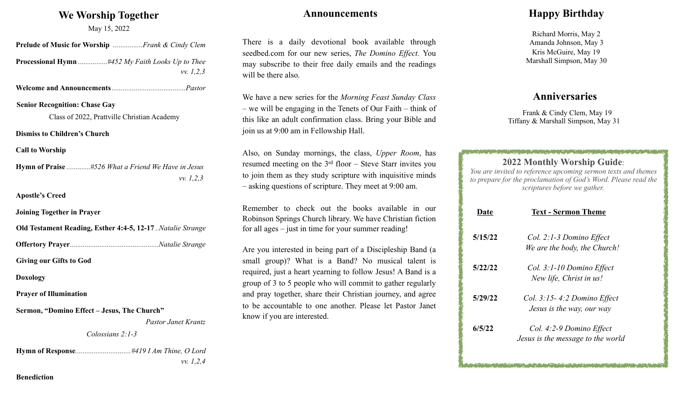## **We Worship Together**

May 15, 2022

| May 15, 2022                                               |
|------------------------------------------------------------|
| Prelude of Music for Worship Frank & Cindy Clem            |
| vv. 1, 2, 3                                                |
|                                                            |
| <b>Senior Recognition: Chase Gay</b>                       |
| Class of 2022, Prattville Christian Academy                |
| <b>Dismiss to Children's Church</b>                        |
| <b>Call to Worship</b>                                     |
| <b>Hymn of Praise</b> #526 What a Friend We Have in Jesus  |
| vv. 1, 2, 3                                                |
| <b>Apostle's Creed</b>                                     |
| <b>Joining Together in Prayer</b>                          |
| Old Testament Reading, Esther 4:4-5, 12-17 Natalie Strange |
|                                                            |
| <b>Giving our Gifts to God</b>                             |
| <b>Doxology</b>                                            |
| <b>Prayer of Illumination</b>                              |
| Sermon, "Domino Effect - Jesus, The Church"                |
| <b>Pastor Janet Krantz</b>                                 |
| Colossians 2:1-3                                           |
|                                                            |

 *vv. 1,2,4* 

**Benediction**

### **Announcements**

There is a daily devotional book available through seedbed.com for our new series, *The Domino Effect.* You may subscribe to their free daily emails and the readings will be there also.

We have a new series for the *Morning Feast Sunday Class* – we will be engaging in the Tenets of Our Faith – think of this like an adult confirmation class. Bring your Bible and join us at 9:00 am in Fellowship Hall.

Also, on Sunday mornings, the class, *Upper Room*, has resumed meeting on the 3rd floor – Steve Starr invites you to join them as they study scripture with inquisitive minds – asking questions of scripture. They meet at 9:00 am.

Remember to check out the books available in our Robinson Springs Church library. We have Christian fiction for all ages – just in time for your summer reading!

Are you interested in being part of a Discipleship Band (a small group)? What is a Band? No musical talent is required, just a heart yearning to follow Jesus! A Band is a group of 3 to 5 people who will commit to gather regularly and pray together, share their Christian journey, and agree to be accountable to one another. Please let Pastor Janet know if you are interested.

## **Happy Birthday**

Richard Morris, May 2 Amanda Johnson, May 3 Kris McGuire, May 19 Marshall Simpson, May 30

## **Anniversaries**

 Frank & Cindy Clem, May 19 Tiffany & Marshall Simpson, May 31

**2022 Monthly Worship Guide**: *You are invited to reference upcoming sermon texts and themes* 

| to prepare for the proclamation of God's Word. Please read the<br>scriptures before we gather. |                                                               |  |
|------------------------------------------------------------------------------------------------|---------------------------------------------------------------|--|
| Date                                                                                           | <b>Text - Sermon Theme</b>                                    |  |
| 5/15/22                                                                                        | Col. 2:1-3 Domino Effect<br>We are the body, the Church!      |  |
| 5/22/22                                                                                        | Col. 3:1-10 Domino Effect<br>New life, Christ in us!          |  |
| 5/29/22                                                                                        | $Col. 3:15-4:2$ Domino Effect<br>Jesus is the way, our way    |  |
| 6/5/22                                                                                         | Col. 4:2-9 Domino Effect<br>Jesus is the message to the world |  |

and the contract of the contract of the contract of the contract of the contract of the contract of the contract of the contract of the contract of the contract of the contract of the contract of the contract of the contra